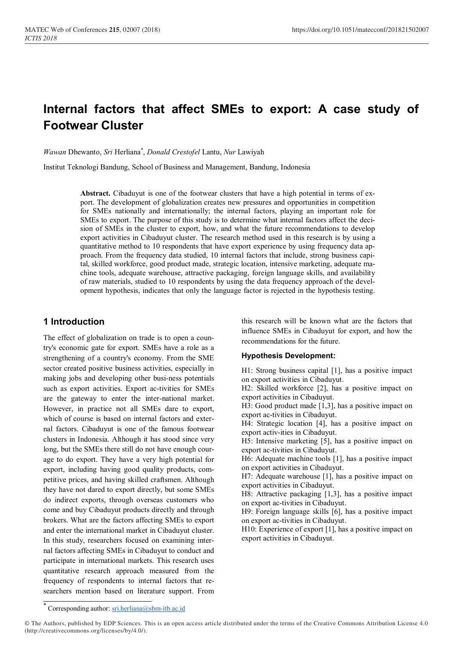# **Internal factors that affect SMEs to export: A case study of Footwear Cluster**

*Wawan* Dhewanto, *Sri* Herliana\* , *Donald Crestofel* Lantu, *Nur* Lawiyah

Institut Teknologi Bandung, School of Business and Management, Bandung, Indonesia

**Abstract.** Cibaduyut is one of the footwear clusters that have a high potential in terms of export. The development of globalization creates new pressures and opportunities in competition for SMEs nationally and internationally; the internal factors, playing an important role for SMEs to export. The purpose of this study is to determine what internal factors affect the decision of SMEs in the cluster to export, how, and what the future recommendations to develop export activities in Cibaduyut cluster. The research method used in this research is by using a quantitative method to 10 respondents that have export experience by using frequency data approach. From the frequency data studied, 10 internal factors that include, strong business capital, skilled workforce, good product made, strategic location, intensive marketing, adequate machine tools, adequate warehouse, attractive packaging, foreign language skills, and availability of raw materials, studied to 10 respondents by using the data frequency approach of the development hypothesis, indicates that only the language factor is rejected in the hypothesis testing.

# **1 Introduction**

The effect of globalization on trade is to open a country's economic gate for export. SMEs have a role as a strengthening of a country's economy. From the SME sector created positive business activities, especially in making jobs and developing other busi-ness potentials such as export activities. Export ac-tivities for SMEs are the gateway to enter the inter-national market. However, in practice not all SMEs dare to export, which of course is based on internal factors and external factors. Cibaduyut is one of the famous footwear clusters in Indonesia. Although it has stood since very long, but the SMEs there still do not have enough courage to do export. They have a very high potential for export, including having good quality products, competitive prices, and having skilled craftsmen. Although they have not dared to export directly, but some SMEs do indirect exports, through overseas customers who come and buy Cibaduyut products directly and through brokers. What are the factors affecting SMEs to export and enter the international market in Cibaduyut cluster. In this study, researchers focused on examining internal factors affecting SMEs in Cibaduyut to conduct and participate in international markets. This research uses quantitative research approach measured from the frequency of respondents to internal factors that researchers mention based on literature support. From

this research will be known what are the factors that influence SMEs in Cibaduyut for export, and how the recommendations for the future.

#### **Hypothesis Development:**

H1: Strong business capital [1], has a positive impact on export activities in Cibaduyut.

H2: Skilled workforce [2], has a positive impact on export activities in Cibaduyut.

H3: Good product made [1,3], has a positive impact on export ac-tivities in Cibaduyut.

H4: Strategic location [4], has a positive impact on export activ-ities in Cibaduyut.

H5: Intensive marketing [5], has a positive impact on export ac-tivities in Cibaduyut.

H6: Adequate machine tools [1], has a positive impact on export activities in Cibaduyut.

H7: Adequate warehouse [1], has a positive impact on export activities in Cibaduyut.

H8: Attractive packaging [1,3], has a positive impact on export ac-tivities in Cibaduyut.

H9: Foreign language skills [6], has a positive impact on export ac-tivities in Cibaduyut.

H10: Experience of export [1], has a positive impact on export activities in Cibaduyut.

<sup>\*</sup> Corresponding author: [sri.herliana@sbm-itb.ac.id](mailto:sri.herliana@sbm-itb.ac.id)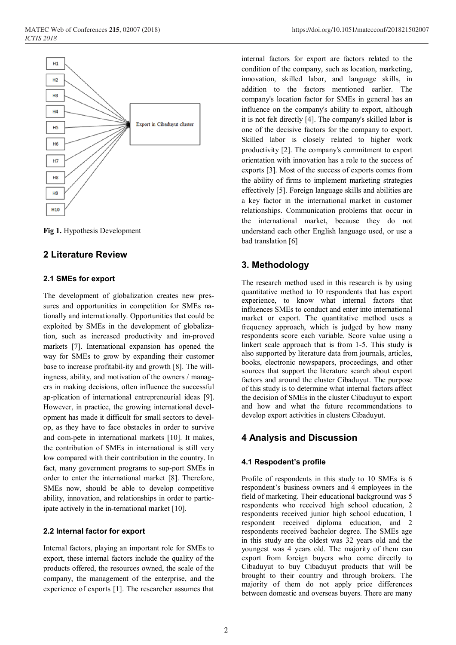

**Fig 1.** Hypothesis Development

## **2 Literature Review**

#### **2.1 SMEs for export**

The development of globalization creates new pressures and opportunities in competition for SMEs nationally and internationally. Opportunities that could be exploited by SMEs in the development of globalization, such as increased productivity and im-proved markets [7]. International expansion has opened the way for SMEs to grow by expanding their customer base to increase profitabil-ity and growth [8]. The willingness, ability, and motivation of the owners / managers in making decisions, often influence the successful ap-plication of international entrepreneurial ideas [9]. However, in practice, the growing international development has made it difficult for small sectors to develop, as they have to face obstacles in order to survive and com-pete in international markets [10]. It makes, the contribution of SMEs in international is still very low compared with their contribution in the country. In fact, many government programs to sup-port SMEs in order to enter the international market [8]. Therefore, SMEs now, should be able to develop competitive ability, innovation, and relationships in order to participate actively in the in-ternational market [10].

#### **2.2 Internal factor for export**

Internal factors, playing an important role for SMEs to export, these internal factors include the quality of the products offered, the resources owned, the scale of the company, the management of the enterprise, and the experience of exports [1]. The researcher assumes that internal factors for export are factors related to the condition of the company, such as location, marketing, innovation, skilled labor, and language skills, in addition to the factors mentioned earlier. The company's location factor for SMEs in general has an influence on the company's ability to export, although it is not felt directly [4]. The company's skilled labor is one of the decisive factors for the company to export. Skilled labor is closely related to higher work productivity [2]. The company's commitment to export orientation with innovation has a role to the success of exports [3]. Most of the success of exports comes from the ability of firms to implement marketing strategies effectively [5]. Foreign language skills and abilities are a key factor in the international market in customer relationships. Communication problems that occur in the international market, because they do not understand each other English language used, or use a bad translation [6]

# **3. Methodology**

The research method used in this research is by using quantitative method to 10 respondents that has export experience, to know what internal factors that influences SMEs to conduct and enter into international market or export. The quantitative method uses a frequency approach, which is judged by how many respondents score each variable. Score value using a linkert scale approach that is from 1-5. This study is also supported by literature data from journals, articles, books, electronic newspapers, proceedings, and other sources that support the literature search about export factors and around the cluster Cibaduyut. The purpose of this study is to determine what internal factors affect the decision of SMEs in the cluster Cibaduyut to export and how and what the future recommendations to develop export activities in clusters Cibaduyut.

#### **4 Analysis and Discussion**

#### **4.1 Respodent's profile**

Profile of respondents in this study to 10 SMEs is 6 respondent's business owners and 4 employees in the field of marketing. Their educational background was 5 respondents who received high school education, 2 respondents received junior high school education, 1 respondent received diploma education, and 2 respondents received bachelor degree. The SMEs age in this study are the oldest was 32 years old and the youngest was 4 years old. The majority of them can export from foreign buyers who come directly to Cibaduyut to buy Cibaduyut products that will be brought to their country and through brokers. The majority of them do not apply price differences between domestic and overseas buyers. There are many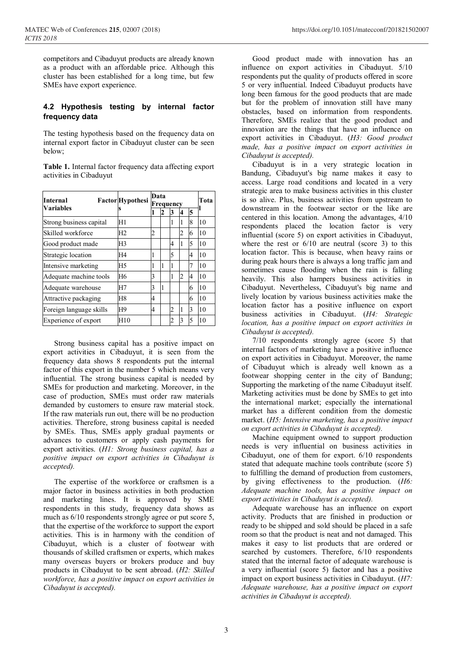competitors and Cibaduyut products are already known as a product with an affordable price. Although this cluster has been established for a long time, but few SMEs have export experience.

#### **4.2 Hypothesis testing by internal factor frequency data**

The testing hypothesis based on the frequency data on internal export factor in Cibaduyut cluster can be seen below;

**Table 1.** Internal factor frequency data affecting export activities in Cibaduyut

| <b>Internal</b><br>Variables | <b>Factor</b> Hypothesi | Data<br>Frequency       |    |                |   |   | Tota |
|------------------------------|-------------------------|-------------------------|----|----------------|---|---|------|
|                              |                         |                         |    |                |   |   |      |
|                              |                         | Strong business capital | H1 |                |   | 1 | 1    |
| Skilled workforce            | H <sub>2</sub>          | 2                       |    |                | 2 | 6 | 10   |
| Good product made            | H <sub>3</sub>          |                         |    | 4              | 1 | 5 | 10   |
| Strategic location           | H4                      | 1                       |    | 5              |   | 4 | 10   |
| Intensive marketing          | H <sub>5</sub>          | 1                       | 1  | 1              |   | 7 | 10   |
| Adequate machine tools       | H <sub>6</sub>          | 3                       |    | 1              | 2 | 4 | 10   |
| Adequate warehouse           | H7                      | 3                       | 1  |                |   | 6 | 10   |
| Attractive packaging         | H <sub>8</sub>          | 4                       |    |                |   | 6 | 10   |
| Foreign language skills      | H <sub>9</sub>          | 4                       |    | 2              | 1 | 3 | 10   |
| Experience of export         | H10                     |                         |    | $\mathfrak{D}$ | 3 | 5 | 10   |

Strong business capital has a positive impact on export activities in Cibaduyut, it is seen from the frequency data shows 8 respondents put the internal factor of this export in the number 5 which means very influential. The strong business capital is needed by SMEs for production and marketing. Moreover, in the case of production, SMEs must order raw materials demanded by customers to ensure raw material stock. If the raw materials run out, there will be no production activities. Therefore, strong business capital is needed by SMEs. Thus, SMEs apply gradual payments or advances to customers or apply cash payments for export activities. (*H1: Strong business capital, has a positive impact on export activities in Cibaduyut is accepted).*

The expertise of the workforce or craftsmen is a major factor in business activities in both production and marketing lines. It is approved by SME respondents in this study, frequency data shows as much as 6/10 respondents strongly agree or put score 5, that the expertise of the workforce to support the export activities. This is in harmony with the condition of Cibaduyut, which is a cluster of footwear with thousands of skilled craftsmen or experts, which makes many overseas buyers or brokers produce and buy products in Cibaduyut to be sent abroad. (*H2: Skilled workforce, has a positive impact on export activities in Cibaduyut is accepted).*

Good product made with innovation has an influence on export activities in Cibaduyut. 5/10 respondents put the quality of products offered in score 5 or very influential. Indeed Cibaduyut products have long been famous for the good products that are made but for the problem of innovation still have many obstacles, based on information from respondents. Therefore, SMEs realize that the good product and innovation are the things that have an influence on export activities in Cibaduyut. (*H3: Good product made, has a positive impact on export activities in Cibaduyut is accepted).*

Cibaduyut is in a very strategic location in Bandung, Cibaduyut's big name makes it easy to access. Large road conditions and located in a very strategic area to make business activities in this cluster is so alive. Plus, business activities from upstream to downstream in the footwear sector or the like are centered in this location. Among the advantages, 4/10 respondents placed the location factor is very influential (score 5) on export activities in Cibaduyut, where the rest or  $6/10$  are neutral (score 3) to this location factor. This is because, when heavy rains or during peak hours there is always a long traffic jam and sometimes cause flooding when the rain is falling heavily. This also hampers business activities in Cibaduyut. Nevertheless, Cibaduyut's big name and lively location by various business activities make the location factor has a positive influence on export business activities in Cibaduyut. (*H4: Strategic location, has a positive impact on export activities in Cibaduyut is accepted).*

7/10 respondents strongly agree (score 5) that internal factors of marketing have a positive influence on export activities in Cibaduyut. Moreover, the name of Cibaduyut which is already well known as a footwear shopping center in the city of Bandung; Supporting the marketing of the name Cibaduyut itself. Marketing activities must be done by SMEs to get into the international market; especially the international market has a different condition from the domestic market. (*H5: Intensive marketing, has a positive impact on export activities in Cibaduyut is accepted).*

Machine equipment owned to support production needs is very influential on business activities in Cibaduyut, one of them for export. 6/10 respondents stated that adequate machine tools contribute (score 5) to fulfilling the demand of production from customers, by giving effectiveness to the production. (*H6: Adequate machine tools, has a positive impact on export activities in Cibaduyut is accepted).*

Adequate warehouse has an influence on export activity. Products that are finished in production or ready to be shipped and sold should be placed in a safe room so that the product is neat and not damaged. This makes it easy to list products that are ordered or searched by customers. Therefore, 6/10 respondents stated that the internal factor of adequate warehouse is a very influential (score 5) factor and has a positive impact on export business activities in Cibaduyut. (*H7: Adequate warehouse, has a positive impact on export activities in Cibaduyut is accepted).*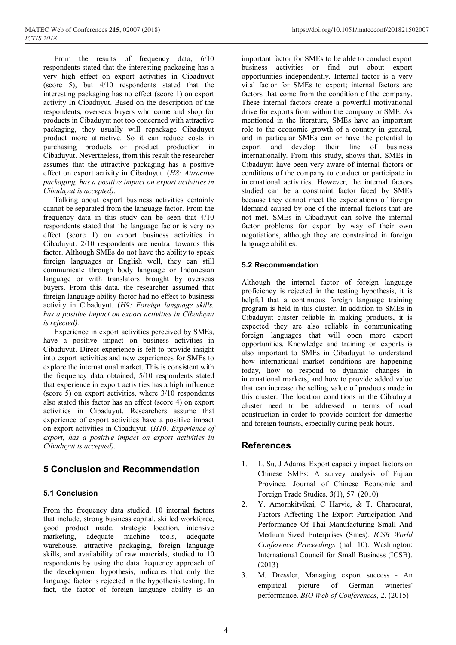From the results of frequency data, 6/10 respondents stated that the interesting packaging has a very high effect on export activities in Cibaduyut (score 5), but 4/10 respondents stated that the interesting packaging has no effect (score 1) on export activity In Cibaduyut. Based on the description of the respondents, overseas buyers who come and shop for products in Cibaduyut not too concerned with attractive packaging, they usually will repackage Cibaduyut product more attractive. So it can reduce costs in purchasing products or product production in Cibaduyut. Nevertheless, from this result the researcher assumes that the attractive packaging has a positive effect on export activity in Cibaduyut. (*H8: Attractive packaging, has a positive impact on export activities in Cibaduyut is accepted).*

Talking about export business activities certainly cannot be separated from the language factor. From the frequency data in this study can be seen that 4/10 respondents stated that the language factor is very no effect (score 1) on export business activities in Cibaduyut. 2/10 respondents are neutral towards this factor. Although SMEs do not have the ability to speak foreign languages or English well, they can still communicate through body language or Indonesian language or with translators brought by overseas buyers. From this data, the researcher assumed that foreign language ability factor had no effect to business activity in Cibaduyut. (*H9: Foreign language skills, has a positive impact on export activities in Cibaduyut is rejected).*

Experience in export activities perceived by SMEs, have a positive impact on business activities in Cibaduyut. Direct experience is felt to provide insight into export activities and new experiences for SMEs to explore the international market. This is consistent with the frequency data obtained, 5/10 respondents stated that experience in export activities has a high influence (score 5) on export activities, where 3/10 respondents also stated this factor has an effect (score 4) on export activities in Cibaduyut. Researchers assume that experience of export activities have a positive impact on export activities in Cibaduyut. (*H10: Experience of export, has a positive impact on export activities in Cibaduyut is accepted).*

# **5 Conclusion and Recommendation**

#### **5.1 Conclusion**

From the frequency data studied, 10 internal factors that include, strong business capital, skilled workforce, good product made, strategic location, intensive marketing, adequate machine tools, adequate warehouse, attractive packaging, foreign language skills, and availability of raw materials, studied to 10 respondents by using the data frequency approach of the development hypothesis, indicates that only the language factor is rejected in the hypothesis testing. In fact, the factor of foreign language ability is an important factor for SMEs to be able to conduct export business activities or find out about export opportunities independently. Internal factor is a very vital factor for SMEs to export; internal factors are factors that come from the condition of the company. These internal factors create a powerful motivational drive for exports from within the company or SME. As mentioned in the literature, SMEs have an important role to the economic growth of a country in general, and in particular SMEs can or have the potential to export and develop their line of business internationally. From this study, shows that, SMEs in Cibaduyut have been very aware of internal factors or conditions of the company to conduct or participate in international activities. However, the internal factors studied can be a constraint factor faced by SMEs because they cannot meet the expectations of foreign ldemand caused by one of the internal factors that are not met. SMEs in Cibaduyut can solve the internal factor problems for export by way of their own negotiations, although they are constrained in foreign language abilities.

## **5.2 Recommendation**

Although the internal factor of foreign language proficiency is rejected in the testing hypothesis, it is helpful that a continuous foreign language training program is held in this cluster. In addition to SMEs in Cibaduyut cluster reliable in making products, it is expected they are also reliable in communicating foreign languages that will open more export opportunities. Knowledge and training on exports is also important to SMEs in Cibaduyut to understand how international market conditions are happening today, how to respond to dynamic changes in international markets, and how to provide added value that can increase the selling value of products made in this cluster. The location conditions in the Cibaduyut cluster need to be addressed in terms of road construction in order to provide comfort for domestic and foreign tourists, especially during peak hours.

# **References**

- 1. L. Su, J Adams, Export capacity impact factors on Chinese SMEs: A survey analysis of Fujian Province. Journal of Chinese Economic and Foreign Trade Studies, **3**(1), 57. (2010)
- 2. Y. Amornkitvikai, C Harvie, & T. Charoenrat, Factors Affecting The Export Participation And Performance Of Thai Manufacturing Small And Medium Sized Enterprises (Smes). *ICSB World Conference Proceedings* (hal. 10). Washington: International Council for Small Business (ICSB). (2013)
- 3. M. Dressler, Managing export success An empirical picture of German wineries' performance. *BIO Web of Conferences*, 2. (2015)